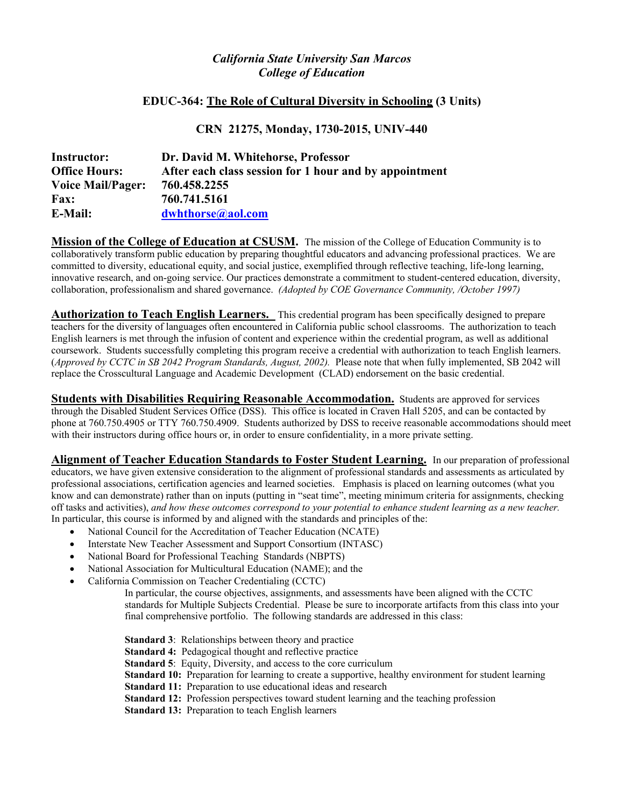# *California State University San Marcos College of Education*

# **EDUC-364: The Role of Cultural Diversity in Schooling (3 Units)**

# **CRN 21275, Monday, 1730-2015, UNIV-440**

| <b>Instructor:</b>       | Dr. David M. Whitehorse, Professor                     |
|--------------------------|--------------------------------------------------------|
| <b>Office Hours:</b>     | After each class session for 1 hour and by appointment |
| <b>Voice Mail/Pager:</b> | 760.458.2255                                           |
| <b>Fax:</b>              | 760.741.5161                                           |
| <b>E-Mail:</b>           | dwhthorse@aol.com                                      |

**Mission of the College of Education at CSUSM.** The mission of the College of Education Community is to collaboratively transform public education by preparing thoughtful educators and advancing professional practices. We are committed to diversity, educational equity, and social justice, exemplified through reflective teaching, life-long learning, innovative research, and on-going service. Our practices demonstrate a commitment to student-centered education, diversity, collaboration, professionalism and shared governance. *(Adopted by COE Governance Community, /October 1997)* 

**Authorization to Teach English Learners.** This credential program has been specifically designed to prepare teachers for the diversity of languages often encountered in California public school classrooms. The authorization to teach English learners is met through the infusion of content and experience within the credential program, as well as additional coursework. Students successfully completing this program receive a credential with authorization to teach English learners. (*Approved by CCTC in SB 2042 Program Standards, August, 2002).* Please note that when fully implemented, SB 2042 will replace the Crosscultural Language and Academic Development (CLAD) endorsement on the basic credential.

**Students with Disabilities Requiring Reasonable Accommodation.** Students are approved for services through the Disabled Student Services Office (DSS). This office is located in Craven Hall 5205, and can be contacted by phone at 760.750.4905 or TTY 760.750.4909. Students authorized by DSS to receive reasonable accommodations should meet with their instructors during office hours or, in order to ensure confidentiality, in a more private setting.

**Alignment of Teacher Education Standards to Foster Student Learning.** In our preparation of professional educators, we have given extensive consideration to the alignment of professional standards and assessments as articulated by professional associations, certification agencies and learned societies. Emphasis is placed on learning outcomes (what you know and can demonstrate) rather than on inputs (putting in "seat time", meeting minimum criteria for assignments, checking off tasks and activities), *and how these outcomes correspond to your potential to enhance student learning as a new teacher.*  In particular, this course is informed by and aligned with the standards and principles of the:

- National Council for the Accreditation of Teacher Education (NCATE)
- Interstate New Teacher Assessment and Support Consortium (INTASC)
- National Board for Professional Teaching Standards (NBPTS)
- National Association for Multicultural Education (NAME); and the
- California Commission on Teacher Credentialing (CCTC)

 In particular, the course objectives, assignments, and assessments have been aligned with the CCTC standards for Multiple Subjects Credential. Please be sure to incorporate artifacts from this class into your final comprehensive portfolio. The following standards are addressed in this class:

 **Standard 3**: Relationships between theory and practice **Standard 4:** Pedagogical thought and reflective practice **Standard 5:** Equity, Diversity, and access to the core curriculum **Standard 10:** Preparation for learning to create a supportive, healthy environment for student learning **Standard 11:** Preparation to use educational ideas and research **Standard 12:** Profession perspectives toward student learning and the teaching profession **Standard 13:** Preparation to teach English learners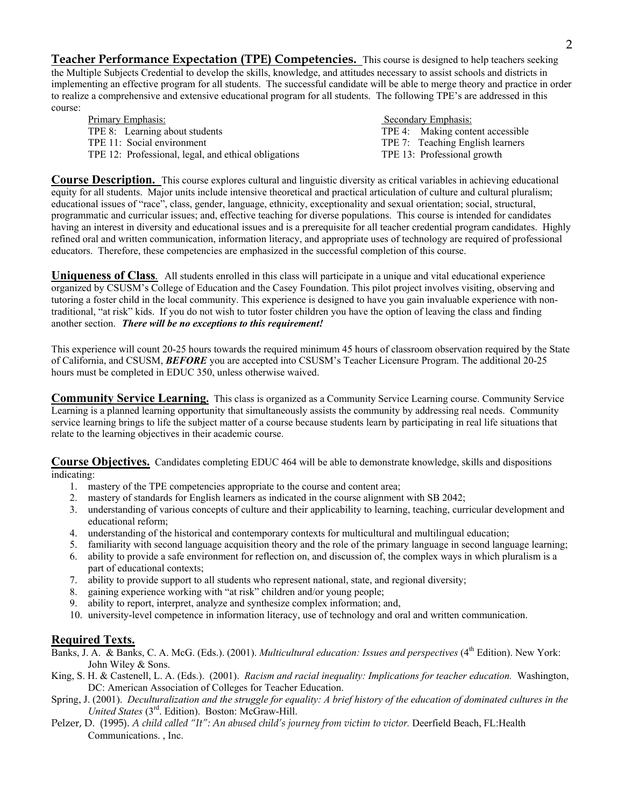**Teacher Performance Expectation (TPE) Competencies.** This course is designed to help teachers seeking the Multiple Subjects Credential to develop the skills, knowledge, and attitudes necessary to assist schools and districts in implementing an effective program for all students. The successful candidate will be able to merge theory and practice in order to realize a comprehensive and extensive educational program for all students. The following TPE's are addressed in this course:

| Primary Emphasis:                                    | Secondary Emphasis:              |
|------------------------------------------------------|----------------------------------|
| TPE 8: Learning about students                       | TPE 4: Making content accessible |
| TPE 11: Social environment                           | TPE 7: Teaching English learners |
| TPE 12: Professional, legal, and ethical obligations | TPE 13: Professional growth      |

**Course Description.** This course explores cultural and linguistic diversity as critical variables in achieving educational equity for all students. Major units include intensive theoretical and practical articulation of culture and cultural pluralism; educational issues of "race", class, gender, language, ethnicity, exceptionality and sexual orientation; social, structural, programmatic and curricular issues; and, effective teaching for diverse populations. This course is intended for candidates having an interest in diversity and educational issues and is a prerequisite for all teacher credential program candidates. Highly refined oral and written communication, information literacy, and appropriate uses of technology are required of professional educators. Therefore, these competencies are emphasized in the successful completion of this course.

**Uniqueness of Class***.* All students enrolled in this class will participate in a unique and vital educational experience organized by CSUSM's College of Education and the Casey Foundation. This pilot project involves visiting, observing and tutoring a foster child in the local community. This experience is designed to have you gain invaluable experience with nontraditional, "at risk" kids. If you do not wish to tutor foster children you have the option of leaving the class and finding another section. *There will be no exceptions to this requirement!* 

This experience will count 20-25 hours towards the required minimum 45 hours of classroom observation required by the State of California, and CSUSM, *BEFORE* you are accepted into CSUSM's Teacher Licensure Program. The additional 20-25 hours must be completed in EDUC 350, unless otherwise waived.

**Community Service Learning.** This class is organized as a Community Service Learning course. Community Service Learning is a planned learning opportunity that simultaneously assists the community by addressing real needs. Community service learning brings to life the subject matter of a course because students learn by participating in real life situations that relate to the learning objectives in their academic course.

**Course Objectives.** Candidates completing EDUC 464 will be able to demonstrate knowledge, skills and dispositions indicating:

- 1. mastery of the TPE competencies appropriate to the course and content area;
- 2. mastery of standards for English learners as indicated in the course alignment with SB 2042;
- 3. understanding of various concepts of culture and their applicability to learning, teaching, curricular development and educational reform;
- 4. understanding of the historical and contemporary contexts for multicultural and multilingual education;
- 5. familiarity with second language acquisition theory and the role of the primary language in second language learning;
- 6. ability to provide a safe environment for reflection on, and discussion of, the complex ways in which pluralism is a part of educational contexts;
- 7. ability to provide support to all students who represent national, state, and regional diversity;
- 8. gaining experience working with "at risk" children and/or young people;
- 9. ability to report, interpret, analyze and synthesize complex information; and,
- 10. university-level competence in information literacy, use of technology and oral and written communication.

### **Required Texts.**

- Banks, J. A. & Banks, C. A. McG. (Eds.). (2001). *Multicultural education: Issues and perspectives* (4<sup>th</sup> Edition). New York: John Wiley & Sons.
- King, S. H. & Castenell, L. A. (Eds.). (2001). *Racism and racial inequality: Implications for teacher education.* Washington, DC: American Association of Colleges for Teacher Education.
- Spring, J. (2001). *Deculturalization and the struggle for equality: A brief history of the education of dominated cultures in the United States* (3rd. Edition). Boston: McGraw-Hill.
- Pelzer, D. (1995). *A child called "It": An abused child's journey from victim to victor.* Deerfield Beach, FL:Health Communications. , Inc.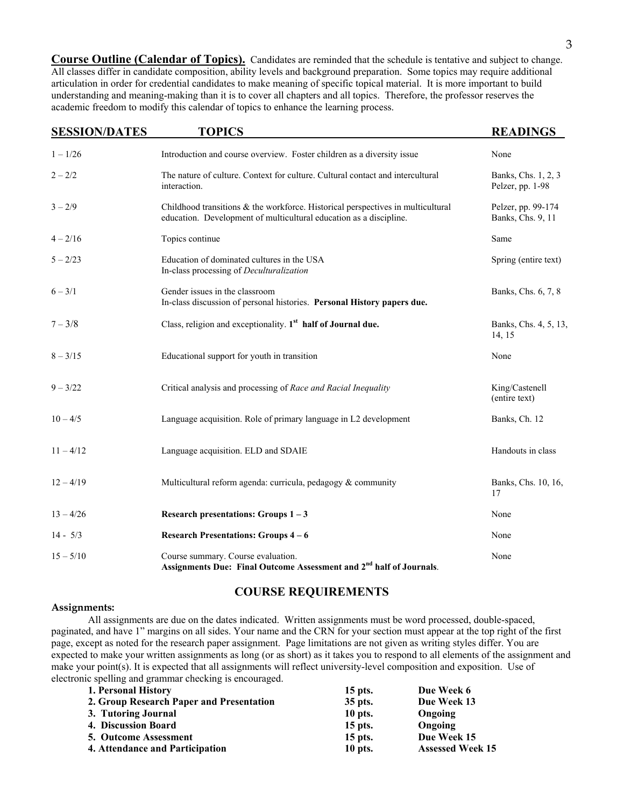**Course Outline (Calendar of Topics).** Candidates are reminded that the schedule is tentative and subject to change. All classes differ in candidate composition, ability levels and background preparation. Some topics may require additional articulation in order for credential candidates to make meaning of specific topical material. It is more important to build understanding and meaning-making than it is to cover all chapters and all topics. Therefore, the professor reserves the academic freedom to modify this calendar of topics to enhance the learning process.

| <b>SESSION/DATES</b> | <b>TOPICS</b>                                                                                                                                            | <b>READINGS</b>                         |
|----------------------|----------------------------------------------------------------------------------------------------------------------------------------------------------|-----------------------------------------|
| $1 - 1/26$           | Introduction and course overview. Foster children as a diversity issue                                                                                   | None                                    |
| $2 - 2/2$            | The nature of culture. Context for culture. Cultural contact and intercultural<br>interaction.                                                           | Banks, Chs. 1, 2, 3<br>Pelzer, pp. 1-98 |
| $3 - 2/9$            | Childhood transitions $\&$ the workforce. Historical perspectives in multicultural<br>education. Development of multicultural education as a discipline. | Pelzer, pp. 99-174<br>Banks, Chs. 9, 11 |
| $4 - 2/16$           | Topics continue                                                                                                                                          | Same                                    |
| $5 - 2/23$           | Education of dominated cultures in the USA<br>In-class processing of Deculturalization                                                                   | Spring (entire text)                    |
| $6 - 3/1$            | Gender issues in the classroom<br>In-class discussion of personal histories. Personal History papers due.                                                | Banks, Chs. 6, 7, 8                     |
| $7 - 3/8$            | Class, religion and exceptionality. 1 <sup>st</sup> half of Journal due.                                                                                 | Banks, Chs. 4, 5, 13,<br>14, 15         |
| $8 - 3/15$           | Educational support for youth in transition                                                                                                              | None                                    |
| $9 - 3/22$           | Critical analysis and processing of Race and Racial Inequality                                                                                           | King/Castenell<br>(entire text)         |
| $10 - 4/5$           | Language acquisition. Role of primary language in L2 development                                                                                         | Banks, Ch. 12                           |
| $11 - 4/12$          | Language acquisition. ELD and SDAIE                                                                                                                      | Handouts in class                       |
| $12 - 4/19$          | Multicultural reform agenda: curricula, pedagogy & community                                                                                             | Banks, Chs. 10, 16,<br>17               |
| $13 - 4/26$          | Research presentations: Groups $1 - 3$                                                                                                                   | None                                    |
| $14 - 5/3$           | <b>Research Presentations: Groups 4-6</b>                                                                                                                | None                                    |
| $15 - 5/10$          | Course summary. Course evaluation.<br>Assignments Due: Final Outcome Assessment and 2 <sup>nd</sup> half of Journals.                                    | None                                    |

### **COURSE REQUIREMENTS**

#### **Assignments:**

All assignments are due on the dates indicated. Written assignments must be word processed, double-spaced, paginated, and have 1" margins on all sides. Your name and the CRN for your section must appear at the top right of the first page, except as noted for the research paper assignment. Page limitations are not given as writing styles differ. You are expected to make your written assignments as long (or as short) as it takes you to respond to all elements of the assignment and make your point(s). It is expected that all assignments will reflect university-level composition and exposition. Use of electronic spelling and grammar checking is encouraged.

| 1. Personal History                      | $15$ pts. | Due Week 6              |
|------------------------------------------|-----------|-------------------------|
| 2. Group Research Paper and Presentation | 35 pts.   | Due Week 13             |
| 3. Tutoring Journal                      | 10 pts.   | Ongoing                 |
| 4. Discussion Board                      | $15$ pts. | Ongoing                 |
| <b>5. Outcome Assessment</b>             | $15$ pts. | Due Week 15             |
| 4. Attendance and Participation          | 10 pts.   | <b>Assessed Week 15</b> |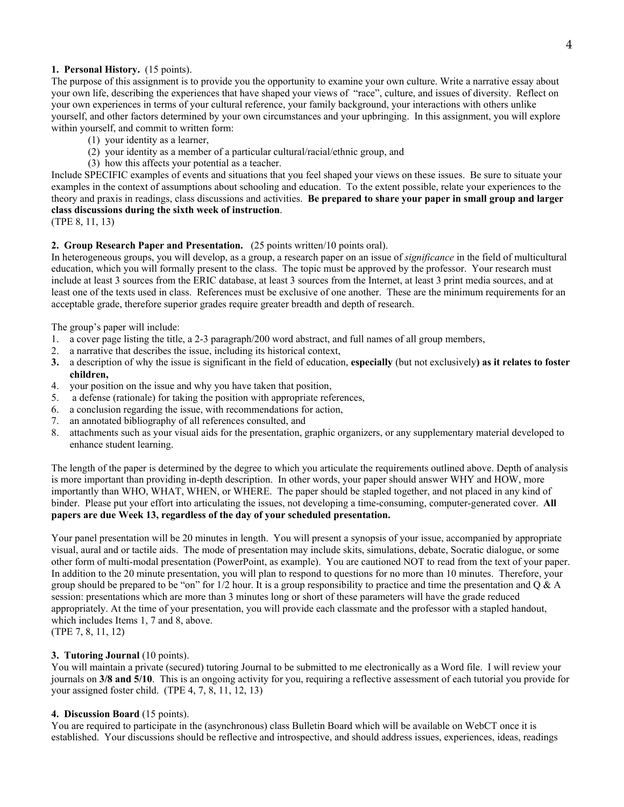### **1. Personal History.** (15 points).

The purpose of this assignment is to provide you the opportunity to examine your own culture. Write a narrative essay about your own life, describing the experiences that have shaped your views of "race", culture, and issues of diversity. Reflect on your own experiences in terms of your cultural reference, your family background, your interactions with others unlike yourself, and other factors determined by your own circumstances and your upbringing. In this assignment, you will explore within yourself, and commit to written form:

- (1) your identity as a learner,
- (2) your identity as a member of a particular cultural/racial/ethnic group, and
- (3) how this affects your potential as a teacher.

Include SPECIFIC examples of events and situations that you feel shaped your views on these issues. Be sure to situate your examples in the context of assumptions about schooling and education. To the extent possible, relate your experiences to the theory and praxis in readings, class discussions and activities. **Be prepared to share your paper in small group and larger class discussions during the sixth week of instruction**.

```
(TPE 8, 11, 13)
```
#### **2. Group Research Paper and Presentation.** (25 points written/10 points oral).

In heterogeneous groups, you will develop, as a group, a research paper on an issue of *significance* in the field of multicultural education, which you will formally present to the class. The topic must be approved by the professor. Your research must include at least 3 sources from the ERIC database, at least 3 sources from the Internet, at least 3 print media sources, and at least one of the texts used in class. References must be exclusive of one another. These are the minimum requirements for an acceptable grade, therefore superior grades require greater breadth and depth of research.

The group's paper will include:

- 1. a cover page listing the title, a 2-3 paragraph/200 word abstract, and full names of all group members,
- 2. a narrative that describes the issue, including its historical context,
- **3.** a description of why the issue is significant in the field of education, **especially** (but not exclusively**) as it relates to foster children,**
- 4. your position on the issue and why you have taken that position,
- 5. a defense (rationale) for taking the position with appropriate references,
- 6. a conclusion regarding the issue, with recommendations for action,
- 7. an annotated bibliography of all references consulted, and
- 8. attachments such as your visual aids for the presentation, graphic organizers, or any supplementary material developed to enhance student learning.

The length of the paper is determined by the degree to which you articulate the requirements outlined above. Depth of analysis is more important than providing in-depth description. In other words, your paper should answer WHY and HOW, more importantly than WHO, WHAT, WHEN, or WHERE. The paper should be stapled together, and not placed in any kind of binder. Please put your effort into articulating the issues, not developing a time-consuming, computer-generated cover. **All papers are due Week 13, regardless of the day of your scheduled presentation.**

Your panel presentation will be 20 minutes in length. You will present a synopsis of your issue, accompanied by appropriate visual, aural and or tactile aids. The mode of presentation may include skits, simulations, debate, Socratic dialogue, or some other form of multi-modal presentation (PowerPoint, as example). You are cautioned NOT to read from the text of your paper. In addition to the 20 minute presentation, you will plan to respond to questions for no more than 10 minutes. Therefore, your group should be prepared to be "on" for  $1/2$  hour. It is a group responsibility to practice and time the presentation and Q & A session: presentations which are more than 3 minutes long or short of these parameters will have the grade reduced appropriately. At the time of your presentation, you will provide each classmate and the professor with a stapled handout, which includes Items 1, 7 and 8, above. (TPE 7, 8, 11, 12)

# **3. Tutoring Journal** (10 points).

You will maintain a private (secured) tutoring Journal to be submitted to me electronically as a Word file. I will review your journals on **3/8 and 5/10**. This is an ongoing activity for you, requiring a reflective assessment of each tutorial you provide for your assigned foster child. (TPE 4, 7, 8, 11, 12, 13)

### **4. Discussion Board** (15 points).

You are required to participate in the (asynchronous) class Bulletin Board which will be available on WebCT once it is established. Your discussions should be reflective and introspective, and should address issues, experiences, ideas, readings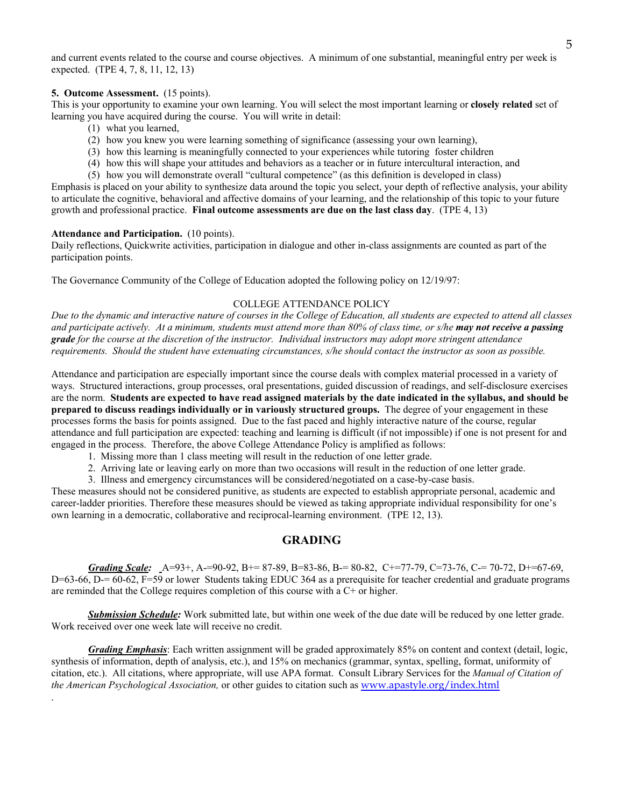and current events related to the course and course objectives. A minimum of one substantial, meaningful entry per week is expected. (TPE 4, 7, 8, 11, 12, 13)

#### **5. Outcome Assessment.** (15 points).

This is your opportunity to examine your own learning. You will select the most important learning or **closely related** set of learning you have acquired during the course. You will write in detail:

- (1) what you learned,
- (2) how you knew you were learning something of significance (assessing your own learning),
- (3) how this learning is meaningfully connected to your experiences while tutoring foster children
- (4) how this will shape your attitudes and behaviors as a teacher or in future intercultural interaction, and
- (5) how you will demonstrate overall "cultural competence" (as this definition is developed in class)

Emphasis is placed on your ability to synthesize data around the topic you select, your depth of reflective analysis, your ability to articulate the cognitive, behavioral and affective domains of your learning, and the relationship of this topic to your future growth and professional practice. **Final outcome assessments are due on the last class day**. (TPE 4, 13)

#### **Attendance and Participation.** (10 points).

.

Daily reflections, Quickwrite activities, participation in dialogue and other in-class assignments are counted as part of the participation points.

The Governance Community of the College of Education adopted the following policy on 12/19/97:

#### COLLEGE ATTENDANCE POLICY

*Due to the dynamic and interactive nature of courses in the College of Education, all students are expected to attend all classes and participate actively. At a minimum, students must attend more than 80% of class time, or s/he may not receive a passing grade for the course at the discretion of the instructor. Individual instructors may adopt more stringent attendance requirements. Should the student have extenuating circumstances, s/he should contact the instructor as soon as possible.* 

Attendance and participation are especially important since the course deals with complex material processed in a variety of ways. Structured interactions, group processes, oral presentations, guided discussion of readings, and self-disclosure exercises are the norm. **Students are expected to have read assigned materials by the date indicated in the syllabus, and should be prepared to discuss readings individually or in variously structured groups.** The degree of your engagement in these processes forms the basis for points assigned. Due to the fast paced and highly interactive nature of the course, regular attendance and full participation are expected: teaching and learning is difficult (if not impossible) if one is not present for and engaged in the process. Therefore, the above College Attendance Policy is amplified as follows:

- 1. Missing more than 1 class meeting will result in the reduction of one letter grade.
- 2. Arriving late or leaving early on more than two occasions will result in the reduction of one letter grade.
- 3. Illness and emergency circumstances will be considered/negotiated on a case-by-case basis.

These measures should not be considered punitive, as students are expected to establish appropriate personal, academic and career-ladder priorities. Therefore these measures should be viewed as taking appropriate individual responsibility for one's own learning in a democratic, collaborative and reciprocal-learning environment. (TPE 12, 13).

### **GRADING**

*Grading Scale:* A=93+, A-=90-92, B+= 87-89, B=83-86, B-= 80-82, C+=77-79, C=73-76, C-= 70-72, D+=67-69, D=63-66, D-= 60-62, F=59 or lower Students taking EDUC 364 as a prerequisite for teacher credential and graduate programs are reminded that the College requires completion of this course with a C+ or higher.

 *Submission Schedule:* Work submitted late, but within one week of the due date will be reduced by one letter grade. Work received over one week late will receive no credit.

*Grading Emphasis*: Each written assignment will be graded approximately 85% on content and context (detail, logic, synthesis of information, depth of analysis, etc.), and 15% on mechanics (grammar, syntax, spelling, format, uniformity of citation, etc.). All citations, where appropriate, will use APA format. Consult Library Services for the *Manual of Citation of the American Psychological Association,* or other guides to citation such as www.apastyle.org/index.html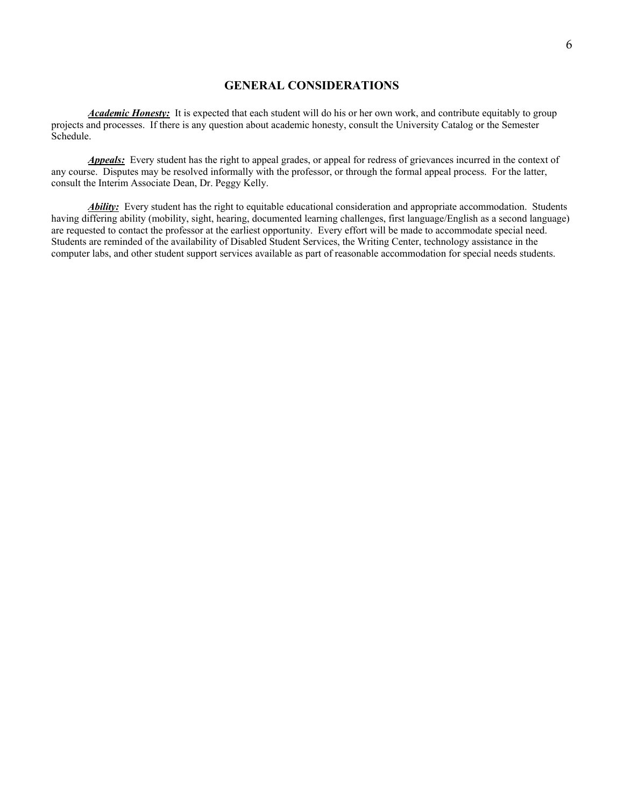# **GENERAL CONSIDERATIONS**

*Academic Honesty:* It is expected that each student will do his or her own work, and contribute equitably to group projects and processes. If there is any question about academic honesty, consult the University Catalog or the Semester Schedule.

*Appeals:* Every student has the right to appeal grades, or appeal for redress of grievances incurred in the context of any course. Disputes may be resolved informally with the professor, or through the formal appeal process. For the latter, consult the Interim Associate Dean, Dr. Peggy Kelly.

*Ability:* Every student has the right to equitable educational consideration and appropriate accommodation. Students having differing ability (mobility, sight, hearing, documented learning challenges, first language/English as a second language) are requested to contact the professor at the earliest opportunity. Every effort will be made to accommodate special need. Students are reminded of the availability of Disabled Student Services, the Writing Center, technology assistance in the computer labs, and other student support services available as part of reasonable accommodation for special needs students.